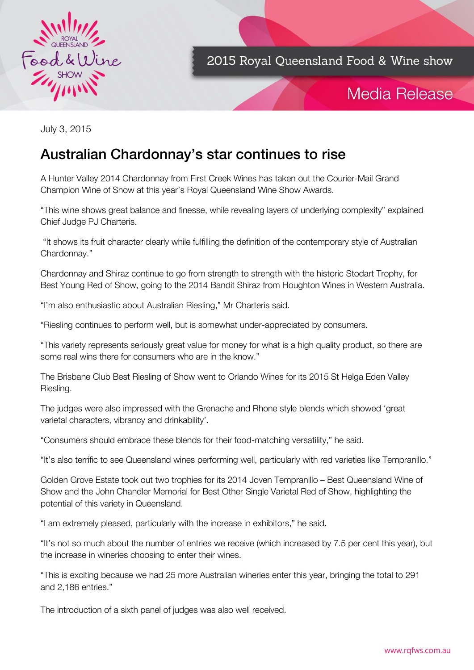

# Media Release

July 3, 2015

## Australian Chardonnay's star continues to rise

A Hunter Valley 2014 Chardonnay from First Creek Wines has taken out the Courier-Mail Grand Champion Wine of Show at this year's Royal Queensland Wine Show Awards.

"This wine shows great balance and finesse, while revealing layers of underlying complexity" explained Chief Judge PJ Charteris.

"It shows its fruit character clearly while fulfilling the definition of the contemporary style of Australian Chardonnay."

Chardonnay and Shiraz continue to go from strength to strength with the historic Stodart Trophy, for Best Young Red of Show, going to the 2014 Bandit Shiraz from Houghton Wines in Western Australia.

"I'm also enthusiastic about Australian Riesling," Mr Charteris said.

"Riesling continues to perform well, but is somewhat under-appreciated by consumers.

"This variety represents seriously great value for money for what is a high quality product, so there are some real wins there for consumers who are in the know."

The Brisbane Club Best Riesling of Show went to Orlando Wines for its 2015 St Helga Eden Valley Riesling.

The judges were also impressed with the Grenache and Rhone style blends which showed 'great varietal characters, vibrancy and drinkability'.

"Consumers should embrace these blends for their food-matching versatility," he said.

"It's also terrific to see Queensland wines performing well, particularly with red varieties like Tempranillo."

Golden Grove Estate took out two trophies for its 2014 Joven Tempranillo – Best Queensland Wine of Show and the John Chandler Memorial for Best Other Single Varietal Red of Show, highlighting the potential of this variety in Queensland.

"I am extremely pleased, particularly with the increase in exhibitors," he said.

"It's not so much about the number of entries we receive (which increased by 7.5 per cent this year), but the increase in wineries choosing to enter their wines.

"This is exciting because we had 25 more Australian wineries enter this year, bringing the total to 291 and 2,186 entries."

The introduction of a sixth panel of judges was also well received.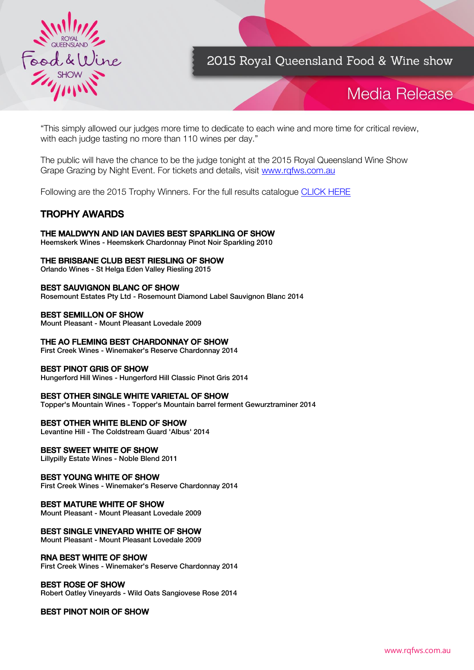

# Media Release

"This simply allowed our judges more time to dedicate to each wine and more time for critical review, with each judge tasting no more than 110 wines per day."

The public will have the chance to be the judge tonight at the 2015 Royal Queensland Wine Show Grape Grazing by Night Event. For tickets and details, visit [www.rqfws.com.au](http://www.rqfws.com.au/)

Following are the 2015 Trophy Winners. For the full results catalogue [CLICK HERE](http://www.rqfws.com.au/)

### **TROPHY AWARDS** TROPHY AWARDS

THE MALDWIN AND IN DITTING OF SHOW AND INTERNATIONAL PROCESS.<br>Heemskerk Wines - Heemskerk Chardonnav Pinot Noir Snarkling 2010 Heemskerk Wines - Heemskerk Chardonnay Pinot Noir Sparkling 2010

THE BRITISH BEST RIFLE CLUB BEST RIGHT OF SHOW AND THE BRITISH OF SHOW AND THE SHOW AND SHOW AND SHOW AND SHOW AND SHOW AND SHOW AND SHOW AND SHOW AND SHOW AND SHOW AND SHOW AND SHOW AND SHOW AND SHOW AND SHOW AND SHOW AND Orlando Wines - St Helga Eden Valley Riesling 2015

BRAUGHT STATES STATES STATES STATES OF SHOW IT Rosemount Estates Pty Ltd - Rosemount Diamond Label Sauvignon Blanc 2014

BEST SEMILLEST STREET

First Creek Wines - Winemaker's Reserve Chardonnay 2014

**BEST PINOT GRIS OF SHOW**<br>Bungerford Hill Wines - Hungerfo Hungerford Hill Wines - Hungerford Hill Classic Pinot Gris 2014

BEST OTHER SINGLE WHITE VARIETAL OF SHOW Topper's Mountain Wines - Topper's Mountain barrel ferment Gewurztraminer 2014

Levantine Hill - The Coldstream Guard 'Albus' 2014

BEST SHOWER SHOWERS - Noble Blend Lillypilly Estate Wines - Noble Blend 2011

**Eirst Creek Wines - Winemaker's Reserve Chardonnay 2014** 

BEST MATURE MATURE OF SHOW<br>Mount Pleasant - Mount Pleasant Love

### **BEST SINGLE VINEYARD WHITE OF SHOW**<br>Mount Pleasant - Mount Pleasant Lovedale 2009

First Creek Wines - Winemaker's Reserve Chardonnay 2014

**Bobert Oatley Vinevards -**Robert Oatley Vineyards - Wild Oats Sangiovese Rose 2014

### BEST PINOT NOIR OF SHOW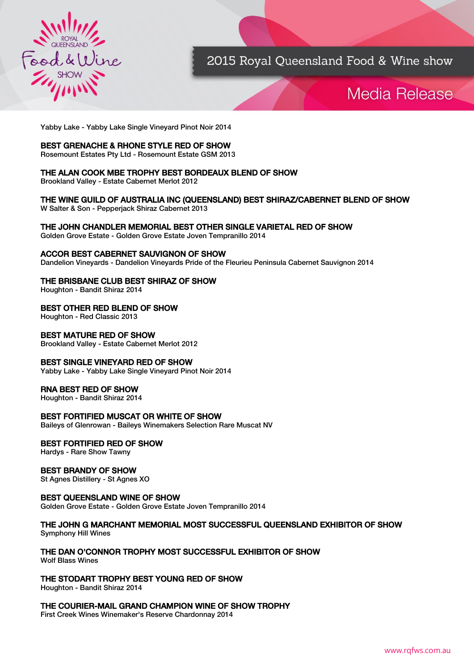

## Media Release

Yabby Lake - Yabby Lake Single Vineyard Pinot Noir 2014

BEST GREET GREET BEST GREET COMES TO BE STATED OF SHOW THE RED OF SHOW AND THE RED OF SHOW AND THE RED OF SHOW AND THE RED OF SHOW AND THE RED OF SHOW AND THE RED OF SHOW AND THE RED OF SHOW AND THE RED OF SHOW AND THE RED Rosemount Estates Pty Ltd - Rosemount Estate GSM 2013

### THE ALAN COOK MBE TROPHY BEST BORDEAUX BLEND OF SHOW<br>Brookland Valley - Estate Cabernet Merlot 2012

Brookland Valley - Estate Cabernet Merlot 2012

W. Salter & Son - Pepperiack Shiraz Cabernet 2013 W Salter & Son - Pepperjack Shiraz Cabernet 2013

Golden Grove Estate - Golden Grove Estate Joven Tempranillo 2014 Golden Grove Estate - Golden Grove Estate Joven Tempranillo 2014

ACCORDING THE STATE SALE SALE IN THE SALE OF SHOW THE BEST CARE IN DIRECT SAULT DATA Dandelion Vineyards - Dandelion Vineyards Pride of the Fleurieu Peninsula Cabernet Sauvignon 2014

THE BRISBANE CHRISBANE CLUB BEST SHIRLE OF SHOW. Houghton - Bandit Shiraz 2014

BEST OTHER RED BEST OF SHORE Houghton - Red Classic 2013

**Brookland Valley - Estate Cabernet** Brookland Valley - Estate Cabernet Merlot 2012

**BEST SINGLE VINEYARD RED OF SHOW**<br>Yabby Lake - Yabby Lake Single Vineyard Pinot Noir 2014 Yabby Lake - Yabby Lake Single Vineyard Pinot Noir 2014

### **RNA BEST RED OF SHOW**<br>Houghton - Bandit Shiraz 2014

Houghton - Bandit Shiraz 2014

**BEST FORTIFIED MUSCATE OF SHOWIFF OR SHOWIFF**<br>Baileys of Glenrowan - Baileys Winemakers Selection R Baileys of Glenrowan - Baileys Winemakers Selection Rare Muscat NV

<u>BEST FOR MILL RED OF SHOW</u><br>Hardys - Rare Show Tawny Hardys - Rare Show Tawny

**BEST BRANDER**<br>St Agnes Distillery - St Agnes St Agnes Distillery - St Agnes XO

BEST COMMISSION WILL CONTROL CONTROL Golden Grove Estate - Golden Grove Estate Joven Tempranillo 2014

### $Symphony$  Hill Wines  $\mathcal{S}$  Hill Wines

THE DAN O'CONNOR TROPHY MOST SUCCESSFUL EXHIBITOR OF SHOW<br>Wolf Blass Wines

THE STORAGHT TROPHY BEST YOU CHART TROPHY BEST YOU Houghton - Bandit Shiraz 2014

First Creek Wines Winemaker's Reserve Chardonnay 2014